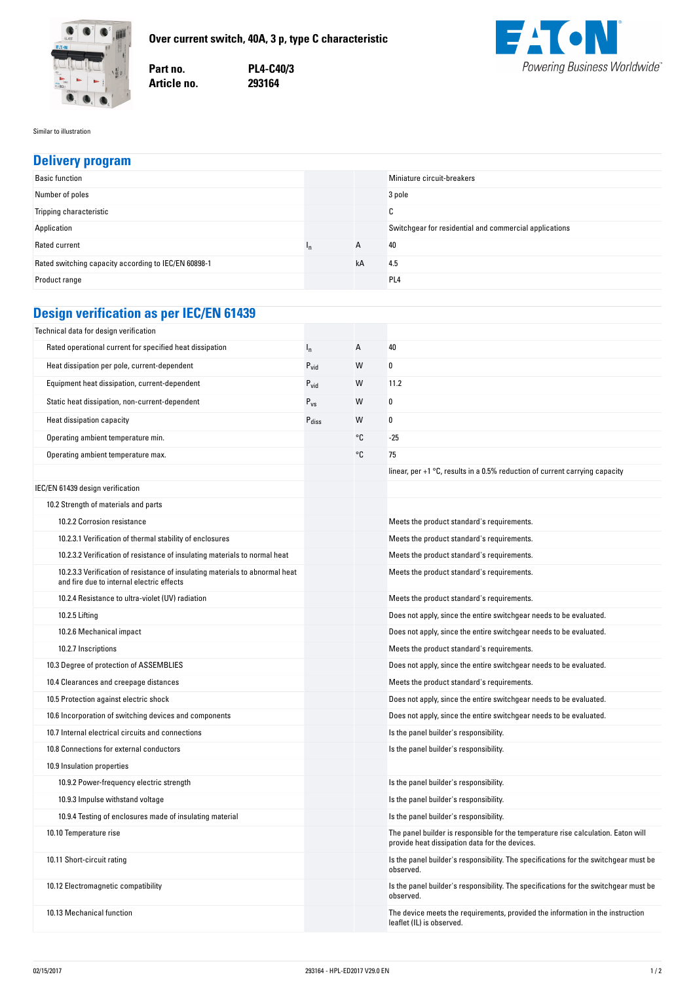



**no. PL4-C40/3 no. 293164**



Similar to illustration

| <b>Delivery program</b>                                  |                  |                |                                                        |  |  |  |
|----------------------------------------------------------|------------------|----------------|--------------------------------------------------------|--|--|--|
| <b>Basic function</b>                                    |                  |                | Miniature circuit-breakers                             |  |  |  |
| Number of poles                                          |                  |                | 3 pole                                                 |  |  |  |
| Tripping characteristic                                  |                  |                | C                                                      |  |  |  |
| Application                                              |                  |                | Switchgear for residential and commercial applications |  |  |  |
| Rated current                                            | $I_{n}$          | $\overline{A}$ | 40                                                     |  |  |  |
| Rated switching capacity according to IEC/EN 60898-1     |                  | kA             | 4.5                                                    |  |  |  |
| Product range                                            |                  |                | PL <sub>4</sub>                                        |  |  |  |
|                                                          |                  |                |                                                        |  |  |  |
| <b>Design verification as per IEC/EN 61439</b>           |                  |                |                                                        |  |  |  |
| Technical data for design verification                   |                  |                |                                                        |  |  |  |
| Rated operational current for specified heat dissipation | $n_{\rm n}$      | $\overline{A}$ | 40                                                     |  |  |  |
| Heat dissipation per pole, current-dependent             | $P_{\text{vid}}$ | W              | 0                                                      |  |  |  |
| Equipment heat dissipation, current-dependent            | $P_{vid}$        | W              | 11.2                                                   |  |  |  |

| Static heat dissipation, non-current-dependent                                                                            | $P_{VS}$          | W  | 0                                                                                                                                   |
|---------------------------------------------------------------------------------------------------------------------------|-------------------|----|-------------------------------------------------------------------------------------------------------------------------------------|
| Heat dissipation capacity                                                                                                 | $P_{\text{diss}}$ | W  | $\mathbf{0}$                                                                                                                        |
| Operating ambient temperature min.                                                                                        |                   | °C | -25                                                                                                                                 |
| Operating ambient temperature max.                                                                                        |                   | °C | 75                                                                                                                                  |
|                                                                                                                           |                   |    | linear, per $+1$ °C, results in a 0.5% reduction of current carrying capacity                                                       |
| IEC/EN 61439 design verification                                                                                          |                   |    |                                                                                                                                     |
| 10.2 Strength of materials and parts                                                                                      |                   |    |                                                                                                                                     |
| 10.2.2 Corrosion resistance                                                                                               |                   |    | Meets the product standard's requirements.                                                                                          |
| 10.2.3.1 Verification of thermal stability of enclosures                                                                  |                   |    | Meets the product standard's requirements.                                                                                          |
| 10.2.3.2 Verification of resistance of insulating materials to normal heat                                                |                   |    | Meets the product standard's requirements.                                                                                          |
| 10.2.3.3 Verification of resistance of insulating materials to abnormal heat<br>and fire due to internal electric effects |                   |    | Meets the product standard's requirements.                                                                                          |
| 10.2.4 Resistance to ultra-violet (UV) radiation                                                                          |                   |    | Meets the product standard's requirements.                                                                                          |
| 10.2.5 Lifting                                                                                                            |                   |    | Does not apply, since the entire switchgear needs to be evaluated.                                                                  |
| 10.2.6 Mechanical impact                                                                                                  |                   |    | Does not apply, since the entire switchgear needs to be evaluated.                                                                  |
| 10.2.7 Inscriptions                                                                                                       |                   |    | Meets the product standard's requirements.                                                                                          |
| 10.3 Degree of protection of ASSEMBLIES                                                                                   |                   |    | Does not apply, since the entire switchgear needs to be evaluated.                                                                  |
| 10.4 Clearances and creepage distances                                                                                    |                   |    | Meets the product standard's requirements.                                                                                          |
| 10.5 Protection against electric shock                                                                                    |                   |    | Does not apply, since the entire switchgear needs to be evaluated.                                                                  |
| 10.6 Incorporation of switching devices and components                                                                    |                   |    | Does not apply, since the entire switchgear needs to be evaluated.                                                                  |
| 10.7 Internal electrical circuits and connections                                                                         |                   |    | Is the panel builder's responsibility.                                                                                              |
| 10.8 Connections for external conductors                                                                                  |                   |    | Is the panel builder's responsibility.                                                                                              |
| 10.9 Insulation properties                                                                                                |                   |    |                                                                                                                                     |
| 10.9.2 Power-frequency electric strength                                                                                  |                   |    | Is the panel builder's responsibility.                                                                                              |
| 10.9.3 Impulse withstand voltage                                                                                          |                   |    | Is the panel builder's responsibility.                                                                                              |
| 10.9.4 Testing of enclosures made of insulating material                                                                  |                   |    | Is the panel builder's responsibility.                                                                                              |
| 10.10 Temperature rise                                                                                                    |                   |    | The panel builder is responsible for the temperature rise calculation. Eaton will<br>provide heat dissipation data for the devices. |
| 10.11 Short-circuit rating                                                                                                |                   |    | Is the panel builder's responsibility. The specifications for the switchgear must be<br>observed.                                   |
| 10.12 Electromagnetic compatibility                                                                                       |                   |    | Is the panel builder's responsibility. The specifications for the switchgear must be<br>observed.                                   |

10.13 Mechanical function in the instruction  $\blacksquare$ 

leaflet (IL) is observed.